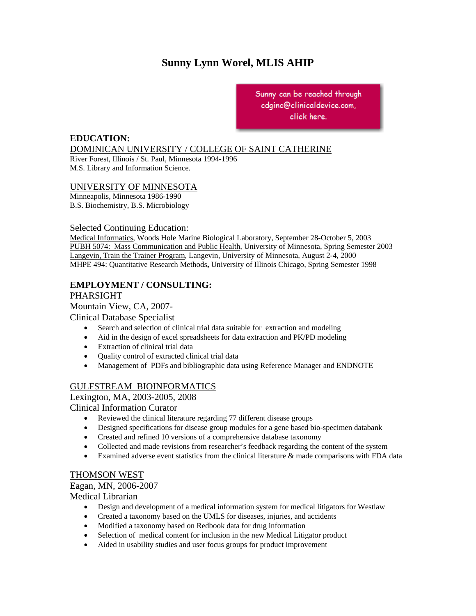# **Sunny Lynn Worel, MLIS AHIP**

Minneapolis, MN 55412 Sunny can be reached through cdginc@clinicaldevice.com, click here.

## **EDUCATION:**

## DOMINICAN UNIVERSITY / COLLEGE OF SAINT CATHERINE

River Forest, Illinois / St. Paul, Minnesota 1994-1996 M.S. Library and Information Science.

### UNIVERSITY OF MINNESOTA

Minneapolis, Minnesota 1986-1990 B.S. Biochemistry, B.S. Microbiology

### Selected Continuing Education:

Medical Informatics, Woods Hole Marine Biological Laboratory, September 28-October 5, 2003 PUBH 5074: Mass Communication and Public Health, University of Minnesota, Spring Semester 2003 Langevin, Train the Trainer Program, Langevin, University of Minnesota, August 2-4, 2000 MHPE 494: Quantitative Research Methods**,** University of Illinois Chicago, Spring Semester 1998

### **EMPLOYMENT / CONSULTING:**  PHARSIGHT

# Mountain View, CA, 2007-

Clinical Database Specialist

- Search and selection of clinical trial data suitable for extraction and modeling
- Aid in the design of excel spreadsheets for data extraction and PK/PD modeling
- Extraction of clinical trial data
- Quality control of extracted clinical trial data
- Management of PDFs and bibliographic data using Reference Manager and ENDNOTE

### GULFSTREAM BIOINFORMATICS

Lexington, MA, 2003-2005, 2008

Clinical Information Curator

- Reviewed the clinical literature regarding 77 different disease groups
- Designed specifications for disease group modules for a gene based bio-specimen databank
- Created and refined 10 versions of a comprehensive database taxonomy
- Collected and made revisions from researcher's feedback regarding the content of the system
- Examined adverse event statistics from the clinical literature & made comparisons with FDA data

### THOMSON WEST

Eagan, MN, 2006-2007

Medical Librarian

- Design and development of a medical information system for medical litigators for Westlaw
- Created a taxonomy based on the UMLS for diseases, injuries, and accidents
- Modified a taxonomy based on Redbook data for drug information
- Selection of medical content for inclusion in the new Medical Litigator product
- Aided in usability studies and user focus groups for product improvement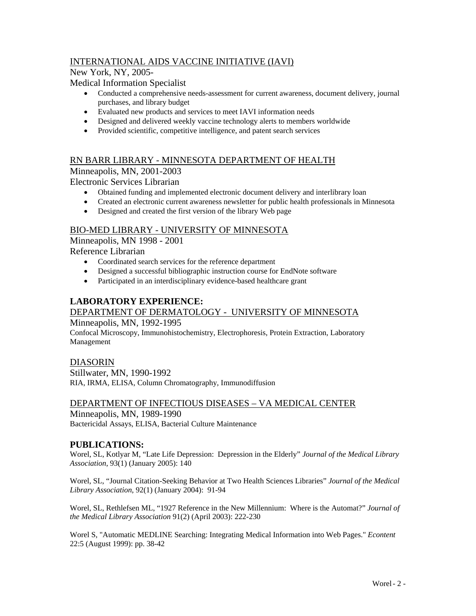# INTERNATIONAL AIDS VACCINE INITIATIVE (IAVI)

New York, NY, 2005-

Medical Information Specialist

- Conducted a comprehensive needs-assessment for current awareness, document delivery, journal purchases, and library budget
- Evaluated new products and services to meet IAVI information needs
- Designed and delivered weekly vaccine technology alerts to members worldwide
- Provided scientific, competitive intelligence, and patent search services

# RN BARR LIBRARY - MINNESOTA DEPARTMENT OF HEALTH

Minneapolis, MN, 2001-2003

Electronic Services Librarian

- Obtained funding and implemented electronic document delivery and interlibrary loan
- Created an electronic current awareness newsletter for public health professionals in Minnesota
- Designed and created the first version of the library Web page

### BIO-MED LIBRARY - UNIVERSITY OF MINNESOTA

Minneapolis, MN 1998 - 2001

Reference Librarian

- Coordinated search services for the reference department
- Designed a successful bibliographic instruction course for EndNote software
- Participated in an interdisciplinary evidence-based healthcare grant

# **LABORATORY EXPERIENCE:**

# DEPARTMENT OF DERMATOLOGY - UNIVERSITY OF MINNESOTA

Minneapolis, MN, 1992-1995

Confocal Microscopy, Immunohistochemistry, Electrophoresis, Protein Extraction, Laboratory Management

### DIASORIN

Stillwater, MN, 1990-1992 RIA, IRMA, ELISA, Column Chromatography, Immunodiffusion

### DEPARTMENT OF INFECTIOUS DISEASES – VA MEDICAL CENTER Minneapolis, MN, 1989-1990 Bactericidal Assays, ELISA, Bacterial Culture Maintenance

### **PUBLICATIONS:**

Worel, SL, Kotlyar M, "Late Life Depression: Depression in the Elderly" *Journal of the Medical Library Association*, 93(1) (January 2005): 140

Worel, SL, "Journal Citation-Seeking Behavior at Two Health Sciences Libraries" *Journal of the Medical Library Association*, 92(1) (January 2004): 91-94

Worel, SL, Rethlefsen ML, "1927 Reference in the New Millennium: Where is the Automat?" *Journal of the Medical Library Association* 91(2) (April 2003): 222-230

Worel S, "Automatic MEDLINE Searching: Integrating Medical Information into Web Pages." *Econtent* 22:5 (August 1999): pp. 38-42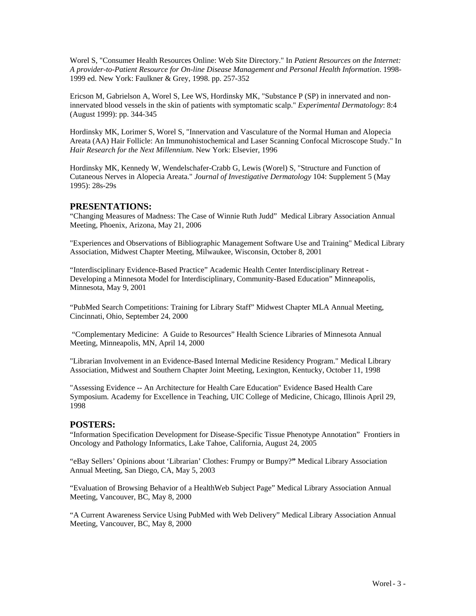Worel S, "Consumer Health Resources Online: Web Site Directory." In *Patient Resources on the Internet: A provider-to-Patient Resource for On-line Disease Management and Personal Health Information*. 1998- 1999 ed. New York: Faulkner & Grey, 1998. pp. 257-352

Ericson M, Gabrielson A, Worel S, Lee WS, Hordinsky MK, "Substance P (SP) in innervated and noninnervated blood vessels in the skin of patients with symptomatic scalp." *Experimental Dermatology*: 8:4 (August 1999): pp. 344-345

Hordinsky MK, Lorimer S, Worel S, "Innervation and Vasculature of the Normal Human and Alopecia Areata (AA) Hair Follicle: An Immunohistochemical and Laser Scanning Confocal Microscope Study." In *Hair Research for the Next Millennium*. New York: Elsevier, 1996

Hordinsky MK, Kennedy W, Wendelschafer-Crabb G, Lewis (Worel) S, "Structure and Function of Cutaneous Nerves in Alopecia Areata." *Journal of Investigative Dermatology* 104: Supplement 5 (May 1995): 28s-29s

#### **PRESENTATIONS:**

"Changing Measures of Madness: The Case of Winnie Ruth Judd" Medical Library Association Annual Meeting, Phoenix, Arizona, May 21, 2006

"Experiences and Observations of Bibliographic Management Software Use and Training" Medical Library Association, Midwest Chapter Meeting, Milwaukee, Wisconsin, October 8, 2001

"Interdisciplinary Evidence-Based Practice" Academic Health Center Interdisciplinary Retreat - Developing a Minnesota Model for Interdisciplinary, Community-Based Education" Minneapolis, Minnesota, May 9, 2001

"PubMed Search Competitions: Training for Library Staff" Midwest Chapter MLA Annual Meeting, Cincinnati, Ohio, September 24, 2000

 "Complementary Medicine: A Guide to Resources" Health Science Libraries of Minnesota Annual Meeting, Minneapolis, MN, April 14, 2000

"Librarian Involvement in an Evidence-Based Internal Medicine Residency Program." Medical Library Association, Midwest and Southern Chapter Joint Meeting, Lexington, Kentucky, October 11, 1998

"Assessing Evidence -- An Architecture for Health Care Education" Evidence Based Health Care Symposium. Academy for Excellence in Teaching, UIC College of Medicine, Chicago, Illinois April 29, 1998

#### **POSTERS:**

"Information Specification Development for Disease-Specific Tissue Phenotype Annotation" Frontiers in Oncology and Pathology Informatics, Lake Tahoe, California, August 24, 2005

"eBay Sellers' Opinions about 'Librarian' Clothes: Frumpy or Bumpy?**"** Medical Library Association Annual Meeting, San Diego, CA, May 5, 2003

"Evaluation of Browsing Behavior of a HealthWeb Subject Page" Medical Library Association Annual Meeting, Vancouver, BC, May 8, 2000

"A Current Awareness Service Using PubMed with Web Delivery" Medical Library Association Annual Meeting, Vancouver, BC, May 8, 2000